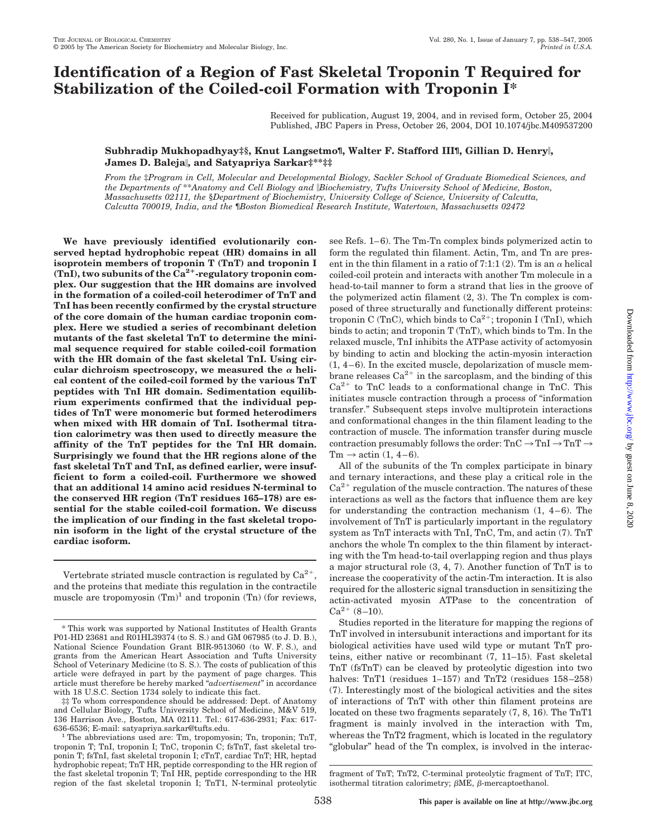# **Identification of a Region of Fast Skeletal Troponin T Required for Stabilization of the Coiled-coil Formation with Troponin I\***

Received for publication, August 19, 2004, and in revised form, October 25, 2004 Published, JBC Papers in Press, October 26, 2004, DOI 10.1074/jbc.M409537200

### **Subhradip Mukhopadhyay‡§, Knut Langsetmo¶, Walter F. Stafford III¶, Gillian D. Henry, James D. Baleja, and Satyapriya Sarkar‡\*\*‡‡**

*From the* ‡*Program in Cell, Molecular and Developmental Biology, Sackler School of Graduate Biomedical Sciences, and the Departments of* \*\**Anatomy and Cell Biology and Biochemistry, Tufts University School of Medicine, Boston, Massachusetts 02111, the* §*Department of Biochemistry, University College of Science, University of Calcutta, Calcutta 700019, India, and the* ¶*Boston Biomedical Research Institute, Watertown, Massachusetts 02472*

**We have previously identified evolutionarily conserved heptad hydrophobic repeat (HR) domains in all isoprotein members of troponin T (TnT) and troponin I** (TnI), two subunits of the Ca<sup>2+</sup>-regulatory troponin com**plex. Our suggestion that the HR domains are involved in the formation of a coiled-coil heterodimer of TnT and TnI has been recently confirmed by the crystal structure of the core domain of the human cardiac troponin complex. Here we studied a series of recombinant deletion mutants of the fast skeletal TnT to determine the minimal sequence required for stable coiled-coil formation with the HR domain of the fast skeletal TnI. Using cir**cular dichroism spectroscopy, we measured the  $\alpha$  heli**cal content of the coiled-coil formed by the various TnT peptides with TnI HR domain. Sedimentation equilibrium experiments confirmed that the individual peptides of TnT were monomeric but formed heterodimers when mixed with HR domain of TnI. Isothermal titration calorimetry was then used to directly measure the affinity of the TnT peptides for the TnI HR domain. Surprisingly we found that the HR regions alone of the fast skeletal TnT and TnI, as defined earlier, were insufficient to form a coiled-coil. Furthermore we showed that an additional 14 amino acid residues N-terminal to the conserved HR region (TnT residues 165–178) are essential for the stable coiled-coil formation. We discuss the implication of our finding in the fast skeletal troponin isoform in the light of the crystal structure of the cardiac isoform.**

Vertebrate striated muscle contraction is regulated by  $Ca^{2+}$ . and the proteins that mediate this regulation in the contractile muscle are tropomyosin  $(Tm)^1$  and troponin  $(Tn)$  (for reviews,

see Refs. 1–6). The Tm-Tn complex binds polymerized actin to form the regulated thin filament. Actin, Tm, and Tn are present in the thin filament in a ratio of 7:1:1 (2). Tm is an  $\alpha$  helical coiled-coil protein and interacts with another Tm molecule in a head-to-tail manner to form a strand that lies in the groove of the polymerized actin filament (2, 3). The Tn complex is composed of three structurally and functionally different proteins: troponin C (TnC), which binds to  $Ca^{2+}$ ; troponin I (TnI), which binds to actin; and troponin T (TnT), which binds to Tm. In the relaxed muscle, TnI inhibits the ATPase activity of actomyosin by binding to actin and blocking the actin-myosin interaction  $(1, 4-6)$ . In the excited muscle, depolarization of muscle membrane releases  $Ca^{2+}$  in the sarcoplasm, and the binding of this  $Ca<sup>2+</sup>$  to TnC leads to a conformational change in TnC. This initiates muscle contraction through a process of "information transfer." Subsequent steps involve multiprotein interactions and conformational changes in the thin filament leading to the contraction of muscle. The information transfer during muscle contraction presumably follows the order:  $\text{Tr} C \rightarrow \text{Tr} I \rightarrow \text{Tr} T \rightarrow$ Tm  $\rightarrow$  actin (1, 4-6).

All of the subunits of the Tn complex participate in binary and ternary interactions, and these play a critical role in the  $Ca<sup>2+</sup>$  regulation of the muscle contraction. The natures of these interactions as well as the factors that influence them are key for understanding the contraction mechanism  $(1, 4-6)$ . The involvement of TnT is particularly important in the regulatory system as TnT interacts with TnI, TnC, Tm, and actin (7). TnT anchors the whole Tn complex to the thin filament by interacting with the Tm head-to-tail overlapping region and thus plays a major structural role (3, 4, 7). Another function of TnT is to increase the cooperativity of the actin-Tm interaction. It is also required for the allosteric signal transduction in sensitizing the actin-activated myosin ATPase to the concentration of  $Ca^{2+}$  (8-10).

Studies reported in the literature for mapping the regions of TnT involved in intersubunit interactions and important for its biological activities have used wild type or mutant TnT proteins, either native or recombinant (7, 11–15). Fast skeletal TnT (fsTnT) can be cleaved by proteolytic digestion into two halves: TnT1 (residues 1-157) and TnT2 (residues 158-258) (7). Interestingly most of the biological activities and the sites of interactions of TnT with other thin filament proteins are located on these two fragments separately (7, 8, 16). The TnT1 fragment is mainly involved in the interaction with Tm, whereas the TnT2 fragment, which is located in the regulatory "globular" head of the Tn complex, is involved in the interac-

<sup>\*</sup> This work was supported by National Institutes of Health Grants P01-HD 23681 and R01HL39374 (to S. S.) and GM 067985 (to J. D. B.), National Science Foundation Grant BIR-9513060 (to W. F. S.), and grants from the American Heart Association and Tufts University School of Veterinary Medicine (to S. S.). The costs of publication of this article were defrayed in part by the payment of page charges. This article must therefore be hereby marked "*advertisement*" in accordance with 18 U.S.C. Section 1734 solely to indicate this fact.

<sup>‡‡</sup> To whom correspondence should be addressed: Dept. of Anatomy and Cellular Biology, Tufts University School of Medicine, M&V 519, 136 Harrison Ave., Boston, MA 02111. Tel.: 617-636-2931; Fax: 617-

The abbreviations used are: Tm, tropomyosin; Tn, troponin; TnT, troponin T; TnI, troponin I; TnC, troponin C; fsTnT, fast skeletal troponin T; fsTnI, fast skeletal troponin I; cTnT, cardiac TnT; HR, heptad hydrophobic repeat; TnT HR, peptide corresponding to the HR region of the fast skeletal troponin T; TnI HR, peptide corresponding to the HR region of the fast skeletal troponin I; TnT1, N-terminal proteolytic

fragment of TnT; TnT2, C-terminal proteolytic fragment of TnT; ITC, isothermal titration calorimetry;  $\beta$ ME,  $\beta$ -mercaptoethanol.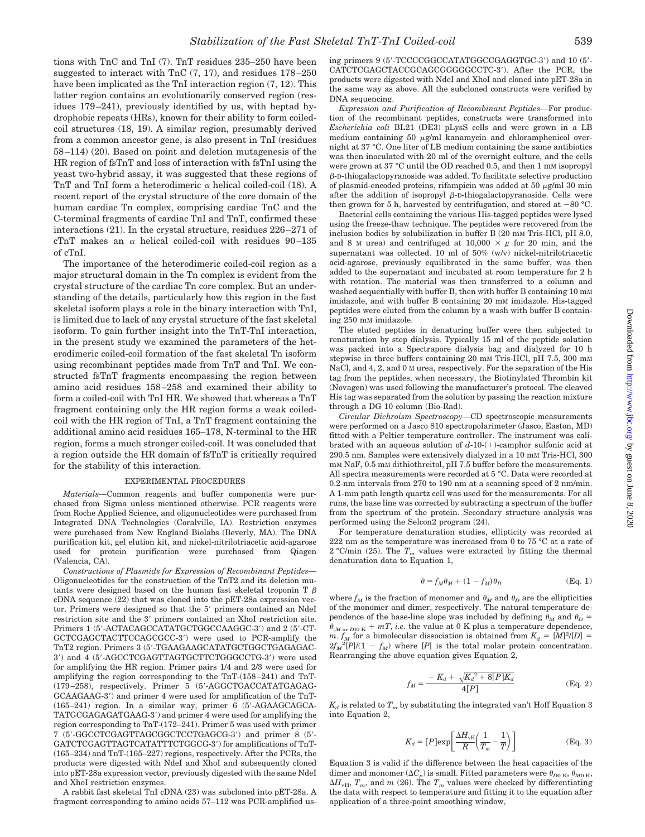tions with TnC and TnI (7). TnT residues 235–250 have been suggested to interact with TnC (7, 17), and residues 178 –250 have been implicated as the TnI interaction region (7, 12). This latter region contains an evolutionarily conserved region (residues 179 –241), previously identified by us, with heptad hydrophobic repeats (HRs), known for their ability to form coiledcoil structures (18, 19). A similar region, presumably derived from a common ancestor gene, is also present in TnI (residues 58 –114) (20). Based on point and deletion mutagenesis of the HR region of fsTnT and loss of interaction with fsTnI using the yeast two-hybrid assay, it was suggested that these regions of TnT and TnI form a heterodimeric  $\alpha$  helical coiled-coil (18). A recent report of the crystal structure of the core domain of the human cardiac Tn complex, comprising cardiac TnC and the C-terminal fragments of cardiac TnI and TnT, confirmed these interactions (21). In the crystal structure, residues 226 –271 of cTnT makes an  $\alpha$  helical coiled-coil with residues 90-135 of cTnI.

The importance of the heterodimeric coiled-coil region as a major structural domain in the Tn complex is evident from the crystal structure of the cardiac Tn core complex. But an understanding of the details, particularly how this region in the fast skeletal isoform plays a role in the binary interaction with TnI, is limited due to lack of any crystal structure of the fast skeletal isoform. To gain further insight into the TnT-TnI interaction, in the present study we examined the parameters of the heterodimeric coiled-coil formation of the fast skeletal Tn isoform using recombinant peptides made from TnT and TnI. We constructed fsTnT fragments encompassing the region between amino acid residues 158 –258 and examined their ability to form a coiled-coil with TnI HR. We showed that whereas a TnT fragment containing only the HR region forms a weak coiledcoil with the HR region of TnI, a TnT fragment containing the additional amino acid residues 165–178, N-terminal to the HR region, forms a much stronger coiled-coil. It was concluded that a region outside the HR domain of fsTnT is critically required for the stability of this interaction.

#### EXPERIMENTAL PROCEDURES

*Materials—*Common reagents and buffer components were purchased from Sigma unless mentioned otherwise. PCR reagents were from Roche Applied Science, and oligonucleotides were purchased from Integrated DNA Technologies (Coralville, IA). Restriction enzymes were purchased from New England Biolabs (Beverly, MA). The DNA purification kit, gel elution kit, and nickel-nitrilotriacetic acid-agarose used for protein purification were purchased from Qiagen (Valencia, CA).

*Constructions of Plasmids for Expression of Recombinant Peptides—* Oligonucleotides for the construction of the TnT2 and its deletion mutants were designed based on the human fast skeletal troponin T  $\beta$ cDNA sequence (22) that was cloned into the pET-28a expression vector. Primers were designed so that the 5' primers contained an NdeI restriction site and the 3' primers contained an XhoI restriction site. Primers 1 (5'-ACTACAGCCATATGCTGGCCAAGGC-3') and 2 (5'-CT-GCTCGAGCTACTTCCAGCGCC-3') were used to PCR-amplify the TnT2 region. Primers 3 (5--TGAAGAAGCATATGCTGGCTGAGAGAC-3') and 4 (5'-AGCCTCGAGTTAGTGCTTCTGGGCCTG-3') were used for amplifying the HR region. Primer pairs 1/4 and 2/3 were used for amplifying the region corresponding to the TnT-(158 –241) and TnT- (179 –258), respectively. Primer 5 (5--AGGCTGACCATATGAGAG-GCAAGAAG-3') and primer 4 were used for amplification of the TnT-(165-241) region. In a similar way, primer 6 (5'-AGAAGCAGCA-TATGCGAGAGATGAAG-3') and primer 4 were used for amplifying the region corresponding to TnT-(172–241). Primer 5 was used with primer 7 (5'-GGCCTCGAGTTAGCGGCTCCTGAGCG-3') and primer 8 (5'-GATCTCGAGTTAGTCATATTTCTGGCG-3') for amplifications of TnT-(165–234) and TnT-(165–227) regions, respectively. After the PCRs, the products were digested with NdeI and XhoI and subsequently cloned into pET-28a expression vector, previously digested with the same NdeI and XhoI restriction enzymes.

A rabbit fast skeletal TnI cDNA (23) was subcloned into pET-28a. A fragment corresponding to amino acids 57–112 was PCR-amplified us-

ing primers 9 (5'-TCCCCGGCCATATGGCCGAGGTGC-3') and 10 (5'-CATCTCGAGCTACCGCAGCGGGGCCTC-3'). After the PCR, the products were digested with NdeI and XhoI and cloned into pET-28a in the same way as above. All the subcloned constructs were verified by DNA sequencing.

*Expression and Purification of Recombinant Peptides—*For production of the recombinant peptides, constructs were transformed into *Escherichia coli* BL21 (DE3) pLysS cells and were grown in a LB medium containing 50  $\mu$ g/ml kanamycin and chloramphenicol overnight at 37 °C. One liter of LB medium containing the same antibiotics was then inoculated with 20 ml of the overnight culture, and the cells were grown at 37 °C until the OD reached 0.5, and then 1 mM isopropyl --D-thiogalactopyranoside was added. To facilitate selective production of plasmid-encoded proteins, rifampicin was added at 50  $\mu$ g/ml 30 min after the addition of isopropyl  $\beta$ -D-thiogalactopyranoside. Cells were then grown for 5 h, harvested by centrifugation, and stored at  $-80$  °C.

Bacterial cells containing the various His-tagged peptides were lysed using the freeze-thaw technique. The peptides were recovered from the inclusion bodies by solubilization in buffer B (20 mM Tris-HCl, pH 8.0, and 8 M urea) and centrifuged at  $10,000 \times g$  for 20 min, and the supernatant was collected. 10 ml of 50% (w/v) nickel-nitrilotriacetic acid-agarose, previously equilibrated in the same buffer, was then added to the supernatant and incubated at room temperature for 2 h with rotation. The material was then transferred to a column and washed sequentially with buffer B, then with buffer B containing 10 mM imidazole, and with buffer B containing 20 mM imidazole. His-tagged peptides were eluted from the column by a wash with buffer B containing 250 mM imidazole.

The eluted peptides in denaturing buffer were then subjected to renaturation by step dialysis. Typically 15 ml of the peptide solution was packed into a Spectrapore dialysis bag and dialyzed for 10 h stepwise in three buffers containing 20 mM Tris-HCl, pH 7.5, 300 mM NaCl, and 4, 2, and 0 M urea, respectively. For the separation of the His tag from the peptides, when necessary, the Biotinylated Thrombin kit (Novagen) was used following the manufacturer's protocol. The cleaved His tag was separated from the solution by passing the reaction mixture through a DG 10 column (Bio-Rad).

*Circular Dichroism Spectroscopy—*CD spectroscopic measurements were performed on a Jasco 810 spectropolarimeter (Jasco, Easton, MD) fitted with a Peltier temperature controller. The instrument was calibrated with an aqueous solution of  $d$ -10-(+)-camphor sulfonic acid at 290.5 nm. Samples were extensively dialyzed in a 10 mM Tris-HCl, 300 mM NaF, 0.5 mM dithiothreitol, pH 7.5 buffer before the measurements. All spectra measurements were recorded at 5 °C. Data were recorded at 0.2-nm intervals from 270 to 190 nm at a scanning speed of 2 nm/min. A 1-mm path length quartz cell was used for the measurements. For all runs, the base line was corrected by subtracting a spectrum of the buffer from the spectrum of the protein. Secondary structure analysis was performed using the Selcon2 program (24).

For temperature denaturation studies, ellipticity was recorded at 222 nm as the temperature was increased from 0 to 75 °C at a rate of  $2$  °C/min (25). The  $T_m$  values were extracted by fitting the thermal denaturation data to Equation 1,

$$
\theta = f_M \theta_M + (1 - f_M) \theta_D \tag{Eq. 1}
$$

where  $f_M$  is the fraction of monomer and  $\theta_M$  and  $\theta_D$  are the ellipticities of the monomer and dimer, respectively. The natural temperature dependence of the base-line slope was included by defining  $\theta_M$  and  $\theta_D$  =  $\theta_{(M \text{ or } D)0 \text{ K}} + mT$ , *i.e.* the value at 0 K plus a temperature dependence, *m*.  $f_M$  for a bimolecular dissociation is obtained from  $K_d = [M]^2/[D] =$  $2f_M^2[P]/(1 - f_M)$  where [*P*] is the total molar protein concentration. Rearranging the above equation gives Equation 2,

$$
f_M = \frac{-K_d + \sqrt{K_d^2 + 8[P]K_d}}{4[P]} \tag{Eq. 2}
$$

 $K_d$  is related to  $T_m$  by substituting the integrated van't Hoff Equation 3 into Equation 2,

$$
K_d = [P] \text{exp}\left[\frac{\Delta H_{\text{vH}}}{R} \left(\frac{1}{T_m} - \frac{1}{T}\right)\right]
$$
 (Eq. 3)

Equation 3 is valid if the difference between the heat capacities of the dimer and monomer ( $\Delta C_p$ ) is small. Fitted parameters were  $\theta_{D0 \text{ K}}, \theta_{M0 \text{ K}},$  $\Delta H_{\text{vH}}$ ,  $T_m$ , and *m* (26). The  $T_m$  values were checked by differentiating the data with respect to temperature and fitting it to the equation after application of a three-point smoothing window,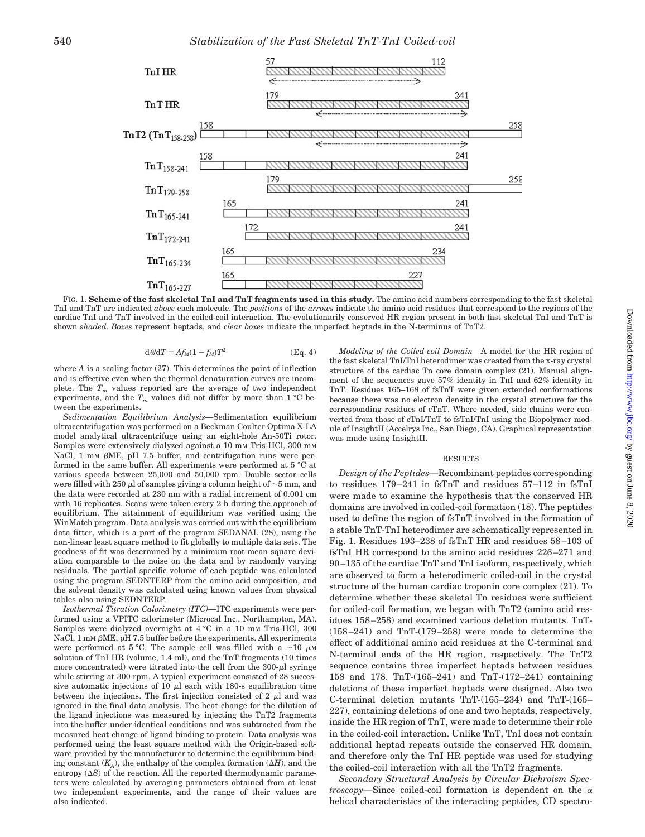

FIG. 1. **Scheme of the fast skeletal TnI and TnT fragments used in this study.** The amino acid numbers corresponding to the fast skeletal TnI and TnT are indicated *above* each molecule. The *positions* of the *arrows* indicate the amino acid residues that correspond to the regions of the cardiac TnI and TnT involved in the coiled-coil interaction. The evolutionarily conserved HR region present in both fast skeletal TnI and TnT is shown *shaded*. *Boxes* represent heptads, and *clear boxes* indicate the imperfect heptads in the N-terminus of TnT2.

$$
d\theta/dT = Af_M(1 - f_M)T^2
$$
 (Eq. 4)

where  $A$  is a scaling factor  $(27)$ . This determines the point of inflection and is effective even when the thermal denaturation curves are incomplete. The  $T_m$  values reported are the average of two independent experiments, and the  $T_m$  values did not differ by more than  $1 °C$  between the experiments.

*Sedimentation Equilibrium Analysis—*Sedimentation equilibrium ultracentrifugation was performed on a Beckman Coulter Optima X-LA model analytical ultracentrifuge using an eight-hole An-50Ti rotor. Samples were extensively dialyzed against a 10 mm Tris-HCl, 300 mm NaCl, 1 mm  $\beta$ ME, pH 7.5 buffer, and centrifugation runs were performed in the same buffer. All experiments were performed at 5 °C at various speeds between 25,000 and 50,000 rpm. Double sector cells were filled with 250  $\mu$ l of samples giving a column height of  $\sim$  5 mm, and the data were recorded at 230 nm with a radial increment of 0.001 cm with 16 replicates. Scans were taken every 2 h during the approach of equilibrium. The attainment of equilibrium was verified using the WinMatch program. Data analysis was carried out with the equilibrium data fitter, which is a part of the program SEDANAL (28), using the non-linear least square method to fit globally to multiple data sets. The goodness of fit was determined by a minimum root mean square deviation comparable to the noise on the data and by randomly varying residuals. The partial specific volume of each peptide was calculated using the program SEDNTERP from the amino acid composition, and the solvent density was calculated using known values from physical tables also using SEDNTERP.

*Isothermal Titration Calorimetry (ITC)—*ITC experiments were performed using a VPITC calorimeter (Microcal Inc., Northampton, MA). Samples were dialyzed overnight at 4 °C in a 10 mM Tris-HCl, 300 NaCl, 1 mm  $\beta$ ME, pH 7.5 buffer before the experiments. All experiments were performed at 5 °C. The sample cell was filled with a  $\sim$ 10  $\mu$ M solution of TnI HR (volume, 1.4 ml), and the TnT fragments (10 times more concentrated) were titrated into the cell from the  $300-\mu$  syringe while stirring at 300 rpm. A typical experiment consisted of 28 successive automatic injections of 10  $\mu$ l each with 180-s equilibration time between the injections. The first injection consisted of  $2 \mu$  and was ignored in the final data analysis. The heat change for the dilution of the ligand injections was measured by injecting the TnT2 fragments into the buffer under identical conditions and was subtracted from the measured heat change of ligand binding to protein. Data analysis was performed using the least square method with the Origin-based software provided by the manufacturer to determine the equilibrium binding constant  $(K_A)$ , the enthalpy of the complex formation  $(\Delta H)$ , and the entropy  $(\Delta S)$  of the reaction. All the reported thermodynamic parameters were calculated by averaging parameters obtained from at least two independent experiments, and the range of their values are also indicated.

*Modeling of the Coiled-coil Domain—*A model for the HR region of the fast skeletal TnI/TnI heterodimer was created from the x-ray crystal structure of the cardiac Tn core domain complex (21). Manual alignment of the sequences gave 57% identity in TnI and 62% identity in TnT. Residues 165–168 of fsTnT were given extended conformations because there was no electron density in the crystal structure for the corresponding residues of cTnT. Where needed, side chains were converted from those of cTnI/TnT to fsTnI/TnI using the Biopolymer module of InsightII (Accelrys Inc., San Diego, CA). Graphical representation was made using InsightII.

#### RESULTS

*Design of the Peptides—*Recombinant peptides corresponding to residues 179 –241 in fsTnT and residues 57–112 in fsTnI were made to examine the hypothesis that the conserved HR domains are involved in coiled-coil formation (18). The peptides used to define the region of fsTnT involved in the formation of a stable TnT-TnI heterodimer are schematically represented in Fig. 1. Residues 193–238 of fsTnT HR and residues 58 –103 of fsTnI HR correspond to the amino acid residues 226 –271 and 90 –135 of the cardiac TnT and TnI isoform, respectively, which are observed to form a heterodimeric coiled-coil in the crystal structure of the human cardiac troponin core complex (21). To determine whether these skeletal Tn residues were sufficient for coiled-coil formation, we began with TnT2 (amino acid residues 158 –258) and examined various deletion mutants. TnT- (158 –241) and TnT-(179 –258) were made to determine the effect of additional amino acid residues at the C-terminal and N-terminal ends of the HR region, respectively. The TnT2 sequence contains three imperfect heptads between residues 158 and 178. TnT-(165–241) and TnT-(172–241) containing deletions of these imperfect heptads were designed. Also two C-terminal deletion mutants TnT-(165–234) and TnT-(165– 227), containing deletions of one and two heptads, respectively, inside the HR region of TnT, were made to determine their role in the coiled-coil interaction. Unlike TnT, TnI does not contain additional heptad repeats outside the conserved HR domain, and therefore only the TnI HR peptide was used for studying the coiled-coil interaction with all the TnT2 fragments.

*Secondary Structural Analysis by Circular Dichroism Spectroscopy*—Since coiled-coil formation is dependent on the  $\alpha$ helical characteristics of the interacting peptides, CD spectro-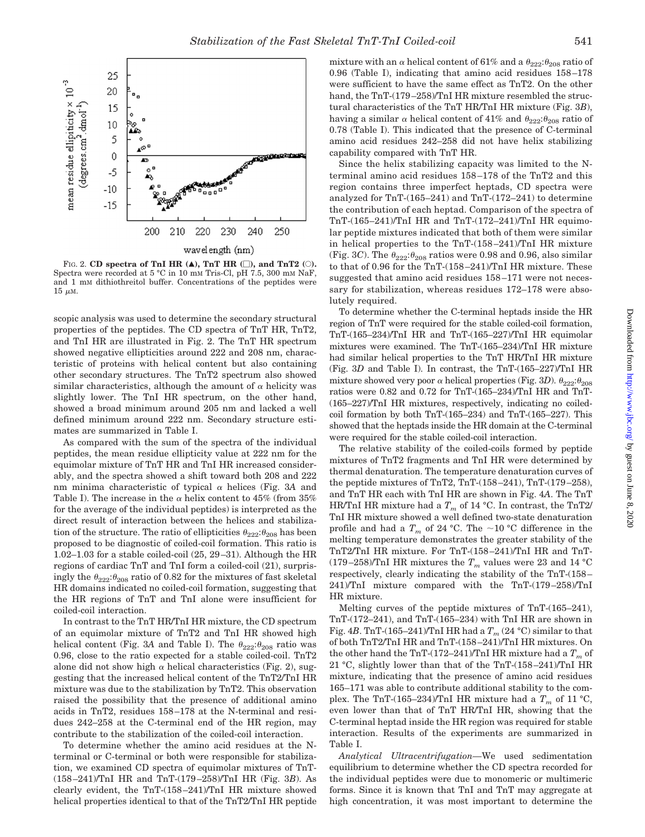

FIG. 2. **CD** spectra of TnI HR  $(A)$ , TnT HR  $(\Box)$ , and TnT2  $(\Diamond)$ . Spectra were recorded at 5 °C in 10 mm Tris-Cl, pH 7.5, 300 mm NaF and 1 mM dithiothreitol buffer. Concentrations of the peptides were  $15 \mu M$ .

scopic analysis was used to determine the secondary structural properties of the peptides. The CD spectra of TnT HR, TnT2, and TnI HR are illustrated in Fig. 2. The TnT HR spectrum showed negative ellipticities around 222 and 208 nm, characteristic of proteins with helical content but also containing other secondary structures. The TnT2 spectrum also showed similar characteristics, although the amount of  $\alpha$  helicity was slightly lower. The TnI HR spectrum, on the other hand, showed a broad minimum around 205 nm and lacked a well defined minimum around 222 nm. Secondary structure estimates are summarized in Table I.

As compared with the sum of the spectra of the individual peptides, the mean residue ellipticity value at 222 nm for the equimolar mixture of TnT HR and TnI HR increased considerably, and the spectra showed a shift toward both 208 and 222 nm minima characteristic of typical  $\alpha$  helices (Fig. 3A and Table I). The increase in the  $\alpha$  helix content to 45% (from 35% for the average of the individual peptides) is interpreted as the direct result of interaction between the helices and stabilization of the structure. The ratio of ellipticities  $\theta_{222}$ : $\theta_{208}$  has been proposed to be diagnostic of coiled-coil formation. This ratio is 1.02–1.03 for a stable coiled-coil (25, 29 –31). Although the HR regions of cardiac TnT and TnI form a coiled-coil (21), surprisingly the  $\theta_{222}:\theta_{208}$  ratio of 0.82 for the mixtures of fast skeletal HR domains indicated no coiled-coil formation, suggesting that the HR regions of TnT and TnI alone were insufficient for coiled-coil interaction.

In contrast to the TnT HR/TnI HR mixture, the CD spectrum of an equimolar mixture of TnT2 and TnI HR showed high helical content (Fig. 3A and Table I). The  $\theta_{222}:\theta_{208}$  ratio was 0.96, close to the ratio expected for a stable coiled-coil. TnT2 alone did not show high  $\alpha$  helical characteristics (Fig. 2), suggesting that the increased helical content of the TnT2/TnI HR mixture was due to the stabilization by TnT2. This observation raised the possibility that the presence of additional amino acids in TnT2, residues 158 –178 at the N-terminal and residues 242–258 at the C-terminal end of the HR region, may contribute to the stabilization of the coiled-coil interaction.

To determine whether the amino acid residues at the Nterminal or C-terminal or both were responsible for stabilization, we examined CD spectra of equimolar mixtures of TnT- (158 –241)/TnI HR and TnT-(179 –258)/TnI HR (Fig. 3*B*). As clearly evident, the TnT-(158 –241)/TnI HR mixture showed helical properties identical to that of the TnT2/TnI HR peptide mixture with an  $\alpha$  helical content of 61% and a  $\theta_{222}$ : $\theta_{208}$  ratio of 0.96 (Table I), indicating that amino acid residues 158 –178 were sufficient to have the same effect as TnT2. On the other hand, the TnT-(179-258)/TnI HR mixture resembled the structural characteristics of the TnT HR/TnI HR mixture (Fig. 3*B*), having a similar  $\alpha$  helical content of 41% and  $\theta_{222}:\theta_{208}$  ratio of 0.78 (Table I). This indicated that the presence of C-terminal amino acid residues 242–258 did not have helix stabilizing capability compared with TnT HR.

Since the helix stabilizing capacity was limited to the Nterminal amino acid residues 158 –178 of the TnT2 and this region contains three imperfect heptads, CD spectra were analyzed for TnT-(165–241) and TnT-(172–241) to determine the contribution of each heptad. Comparison of the spectra of TnT-(165–241)/TnI HR and TnT-(172–241)/TnI HR equimolar peptide mixtures indicated that both of them were similar in helical properties to the TnT-(158 –241)/TnI HR mixture (Fig. 3*C*). The  $\theta_{222}$ : $\theta_{208}$  ratios were 0.98 and 0.96, also similar to that of 0.96 for the TnT-(158 –241)/TnI HR mixture. These suggested that amino acid residues 158 –171 were not necessary for stabilization, whereas residues 172–178 were absolutely required.

To determine whether the C-terminal heptads inside the HR region of TnT were required for the stable coiled-coil formation, TnT-(165–234)/TnI HR and TnT-(165–227)/TnI HR equimolar mixtures were examined. The TnT-(165–234)/TnI HR mixture had similar helical properties to the TnT HR/TnI HR mixture (Fig. 3*D* and Table I). In contrast, the TnT-(165–227)/TnI HR mixture showed very poor  $\alpha$  helical properties (Fig. 3D).  $\theta_{222}:\theta_{208}$ ratios were 0.82 and 0.72 for TnT-(165–234)/TnI HR and TnT- (165–227)/TnI HR mixtures, respectively, indicating no coiledcoil formation by both TnT-(165–234) and TnT-(165–227). This showed that the heptads inside the HR domain at the C-terminal were required for the stable coiled-coil interaction.

The relative stability of the coiled-coils formed by peptide mixtures of TnT2 fragments and TnI HR were determined by thermal denaturation. The temperature denaturation curves of the peptide mixtures of TnT2, TnT- $(158-241)$ , TnT- $(179-258)$ , and TnT HR each with TnI HR are shown in Fig. 4*A*. The TnT HR/TnI HR mixture had a  $T_m$  of 14 °C. In contrast, the TnT2/ TnI HR mixture showed a well defined two-state denaturation profile and had a  $T_m$  of 24 °C. The  $\sim$  10 °C difference in the melting temperature demonstrates the greater stability of the TnT2/TnI HR mixture. For TnT-(158 –241)/TnI HR and TnT- (179–258)/TnI HR mixtures the  $T_m$  values were 23 and 14 °C respectively, clearly indicating the stability of the TnT-(158 – 241)/TnI mixture compared with the TnT-(179 –258)/TnI HR mixture.

Melting curves of the peptide mixtures of TnT-(165–241), TnT-(172–241), and TnT-(165–234) with TnI HR are shown in Fig. 4*B*. TnT-(165–241)/TnI HR had a  $T_m$  (24 °C) similar to that of both TnT2/TnI HR and TnT-(158 –241)/TnI HR mixtures. On the other hand the TnT-(172–241)/TnI HR mixture had a  $T_m$  of 21 °C, slightly lower than that of the TnT-(158 –241)/TnI HR mixture, indicating that the presence of amino acid residues 165–171 was able to contribute additional stability to the complex. The TnT-(165–234)/TnI HR mixture had a  $T_m$  of 11 °C, even lower than that of TnT HR/TnI HR, showing that the C-terminal heptad inside the HR region was required for stable interaction. Results of the experiments are summarized in Table I.

*Analytical Ultracentrifugation—*We used sedimentation equilibrium to determine whether the CD spectra recorded for the individual peptides were due to monomeric or multimeric forms. Since it is known that TnI and TnT may aggregate at high concentration, it was most important to determine the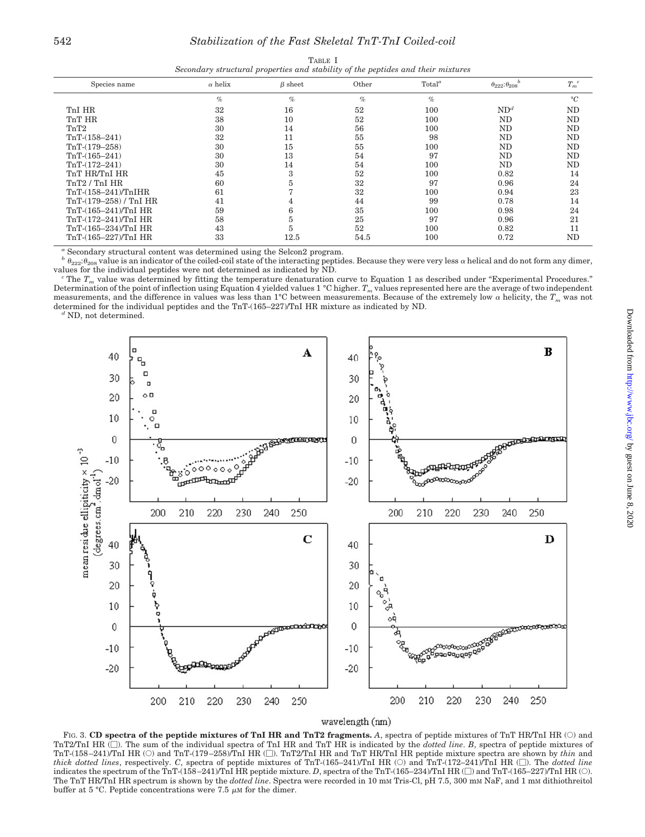| Secondary structural properties and stability of the peptiaes and their mixtures |                |               |       |                    |                                 |                      |  |  |
|----------------------------------------------------------------------------------|----------------|---------------|-------|--------------------|---------------------------------|----------------------|--|--|
| Species name                                                                     | $\alpha$ helix | $\beta$ sheet | Other | Total <sup>a</sup> | $\theta_{222}$ : $\theta_{208}$ | $T_m^{\phantom{m}c}$ |  |  |
|                                                                                  | $\%$           | $\%$          | $\%$  | $\%$               |                                 | $\circ$ C            |  |  |
| TnI HR                                                                           | 32             | 16            | 52    | 100                | ND <sup>d</sup>                 | ND                   |  |  |
| TnT HR                                                                           | 38             | 10            | 52    | 100                | ND                              | ND                   |  |  |
| TnT2                                                                             | 30             | 14            | 56    | 100                | ND                              | ND                   |  |  |
| $TrT-(158-241)$                                                                  | 32             | 11            | 55    | 98                 | ND                              | ND                   |  |  |
| $TnT-(179-258)$                                                                  | 30             | 15            | 55    | 100                | ND                              | ND                   |  |  |
| $TnT-(165-241)$                                                                  | 30             | 13            | 54    | 97                 | ND                              | ND                   |  |  |
| $TnT-(172-241)$                                                                  | 30             | 14            | 54    | 100                | ND                              | ND                   |  |  |
| TnT HR/TnI HR                                                                    | 45             | 3             | 52    | 100                | 0.82                            | 14                   |  |  |
| TnT2 / TnI HR                                                                    | 60             | 5.            | 32    | 97                 | 0.96                            | 24                   |  |  |
| $TnT-(158-241)/TnIHR$                                                            | 61             |               | 32    | 100                | 0.94                            | 23                   |  |  |
| $TrT-(179-258) / TnI HR$                                                         | 41             | 4             | 44    | 99                 | 0.78                            | 14                   |  |  |
| TnT-(165-241)/TnI HR                                                             | 59             | 6             | 35    | 100                | 0.98                            | 24                   |  |  |
| TnT-(172-241)/TnI HR                                                             | 58             | 5             | 25    | 97                 | 0.96                            | 21                   |  |  |
| TnT-(165-234)/TnI HR                                                             | 43             | h.            | 52    | 100                | 0.82                            | 11                   |  |  |
| TnT-(165-227)/TnI HR                                                             | 33             | 12.5          | 54.5  | 100                | 0.72                            | ND                   |  |  |

TABLE I *Secondary structural properties and stability of the peptides and their mixtures*

*<sup>a</sup>* Secondary structural content was determined using the Selcon2 program.

 $b$   $\theta_{222}$ : $\theta_{208}$  value is an indicator of the coiled-coil state of the interacting peptides. Because they were very less  $\alpha$  helical and do not form any dimer, values for the individual peptides were not determine

The  $T_m$  value was determined by fitting the temperature denaturation curve to Equation 1 as described under "Experimental Procedures." Determination of the point of inflection using Equation 4 yielded values 1 °C higher.  $T_m$  values represented here are the average of two independent measurements, and the difference in values was less than 1°C between measurements. Because of the extremely low  $\alpha$  helicity, the  $T_m$  was not determined for the individual peptides and the TnT-(165–227)/TnI HR mixture as indicated by ND. *<sup>d</sup>* ND, not determined.



#### wavelength (nm)

FIG. 3. CD spectra of the peptide mixtures of TnI HR and TnT2 fragments. A, spectra of peptide mixtures of TnT HR/TnI HR (O) and TnT2/TnI HR ( $\square$ ). The sum of the individual spectra of TnI HR and TnT HR is indicated by the *dotted line*. *B*, spectra of peptide mixtures of TnT-(158-241)/TnI HR (O) and TnT-(179-258)/TnI HR ([]). TnT2/TnI HR and TnT HR/TnI HR peptide mixture spectra are shown by *thin* and *thick dotted lines*, respectively. *C*, spectra of peptide mixtures of TnT-(165–241)/TnI HR ( $\odot$ ) and TnT-(172–241)/TnI HR ( $\Box$ ). The *dotted line* indicates the spectrum of the TnT-(158-241)/TnI HR peptide mixture. *D*, spectra of the TnT-(165-234)/TnI HR ( $\Box$ ) and TnT-(165-227)/TnI HR ( $\bigcirc$ ). The TnT HR/TnI HR spectrum is shown by the *dotted line*. Spectra were recorded in 10 mM Tris-Cl, pH 7.5, 300 mM NaF, and 1 mM dithiothreitol buffer at 5 °C. Peptide concentrations were 7.5  $\mu$ M for the dimer.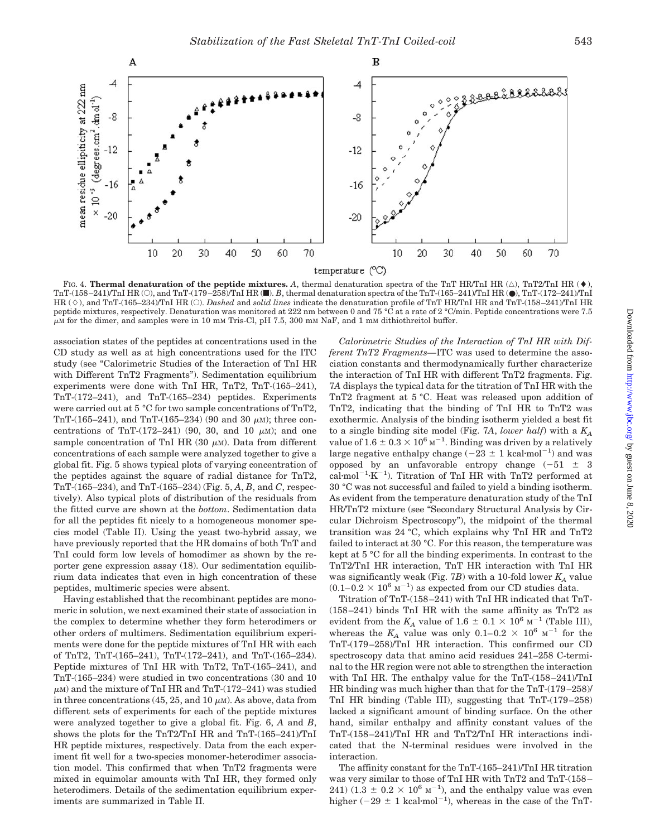

FIG. 4. **Thermal denaturation of the peptide mixtures.** A, thermal denaturation spectra of the TnT HR/TnI HR  $(\triangle)$ , TnT2/TnI HR  $(\blacklozenge)$ , TnT-(158 –241)/TnI HR (E), and TnT-(179 –258)/TnI HR (f). *B*, thermal denaturation spectra of the TnT-(165–241)/TnI HR (●), TnT-(172–241)/TnI HR ( $\diamond$ ), and TnT-(165–234)/TnI HR ( $\odot$ ). *Dashed* and *solid lines* indicate the denaturation profile of TnT HR/TnI HR and TnT-(158–241)/TnI HR peptide mixtures, respectively. Denaturation was monitored at 222 nm between 0 and 75 °C at a rate of 2 °C/min. Peptide concentrations were 7.5  $\mu$ M for the dimer, and samples were in 10 mM Tris-Cl, pH 7.5, 300 mM NaF, and 1 mM dithiothreitol buffer.

association states of the peptides at concentrations used in the CD study as well as at high concentrations used for the ITC study (see "Calorimetric Studies of the Interaction of TnI HR with Different TnT2 Fragments"). Sedimentation equilibrium experiments were done with TnI HR, TnT2, TnT-(165–241), TnT-(172–241), and TnT-(165–234) peptides. Experiments were carried out at 5 °C for two sample concentrations of TnT2, TnT-(165–241), and TnT-(165–234) (90 and 30  $\mu$ M); three concentrations of TnT- $(172-241)$  (90, 30, and 10  $\mu$ M); and one sample concentration of TnI HR  $(30 \mu M)$ . Data from different concentrations of each sample were analyzed together to give a global fit. Fig. 5 shows typical plots of varying concentration of the peptides against the square of radial distance for TnT2, TnT-(165–234), and TnT-(165–234) (Fig. 5, *A*, *B*, and *C*, respectively). Also typical plots of distribution of the residuals from the fitted curve are shown at the *bottom*. Sedimentation data for all the peptides fit nicely to a homogeneous monomer species model (Table II). Using the yeast two-hybrid assay, we have previously reported that the HR domains of both TnT and TnI could form low levels of homodimer as shown by the reporter gene expression assay (18). Our sedimentation equilibrium data indicates that even in high concentration of these peptides, multimeric species were absent.

Having established that the recombinant peptides are monomeric in solution, we next examined their state of association in the complex to determine whether they form heterodimers or other orders of multimers. Sedimentation equilibrium experiments were done for the peptide mixtures of TnI HR with each of TnT2, TnT-(165–241), TnT-(172–241), and TnT-(165–234). Peptide mixtures of TnI HR with TnT2, TnT-(165–241), and TnT-(165–234) were studied in two concentrations (30 and 10  $\mu$ M) and the mixture of TnI HR and TnT-(172–241) was studied in three concentrations (45, 25, and 10  $\mu$ M). As above, data from different sets of experiments for each of the peptide mixtures were analyzed together to give a global fit. Fig. 6, *A* and *B*, shows the plots for the TnT2/TnI HR and TnT-(165–241)/TnI HR peptide mixtures, respectively. Data from the each experiment fit well for a two-species monomer-heterodimer association model. This confirmed that when TnT2 fragments were mixed in equimolar amounts with TnI HR, they formed only heterodimers. Details of the sedimentation equilibrium experiments are summarized in Table II.

*Calorimetric Studies of the Interaction of TnI HR with Different TnT2 Fragments—*ITC was used to determine the association constants and thermodynamically further characterize the interaction of TnI HR with different TnT2 fragments. Fig. 7*A* displays the typical data for the titration of TnI HR with the TnT2 fragment at 5 °C. Heat was released upon addition of TnT2, indicating that the binding of TnI HR to TnT2 was exothermic. Analysis of the binding isotherm yielded a best fit to a single binding site model (Fig. 7*A*, *lower half*) with a *KA* value of  $1.6 \pm 0.3 \times 10^6$  M<sup>-1</sup>. Binding was driven by a relatively large negative enthalpy change ( $-23 \pm 1$  kcal·mol<sup>-1</sup>) and was opposed by an unfavorable entropy change  $(-51 \pm 3)$  $cal-mol^{-1}$ -K<sup>-1</sup>). Titration of TnI HR with TnT2 performed at 30 °C was not successful and failed to yield a binding isotherm. As evident from the temperature denaturation study of the TnI HR/TnT2 mixture (see "Secondary Structural Analysis by Circular Dichroism Spectroscopy"), the midpoint of the thermal transition was 24 °C, which explains why TnI HR and TnT2 failed to interact at 30 °C. For this reason, the temperature was kept at 5 °C for all the binding experiments. In contrast to the TnT2/TnI HR interaction, TnT HR interaction with TnI HR was significantly weak (Fig. 7*B*) with a 10-fold lower  $K_A$  value  $(0.1-0.2 \times 10^6 \text{ m}^{-1})$  as expected from our CD studies data.

Titration of TnT-(158 –241) with TnI HR indicated that TnT- (158 –241) binds TnI HR with the same affinity as TnT2 as evident from the  $K_A$  value of 1.6  $\pm$  0.1  $\times$  10<sup>6</sup> M<sup>-1</sup> (Table III), whereas the  $K_A$  value was only  $0.1-0.2 \times 10^6$  M<sup>-1</sup> for the TnT-(179 –258)/TnI HR interaction. This confirmed our CD spectroscopy data that amino acid residues 241–258 C-terminal to the HR region were not able to strengthen the interaction with TnI HR. The enthalpy value for the TnT-(158 –241)/TnI HR binding was much higher than that for the TnT-(179 –258)/ TnI HR binding (Table III), suggesting that TnT-(179 –258) lacked a significant amount of binding surface. On the other hand, similar enthalpy and affinity constant values of the TnT-(158 –241)/TnI HR and TnT2/TnI HR interactions indicated that the N-terminal residues were involved in the interaction.

The affinity constant for the TnT-(165–241)/TnI HR titration was very similar to those of TnI HR with TnT2 and TnT-(158 – 241)  $(1.3 \pm 0.2 \times 10^6 \text{ m}^{-1})$ , and the enthalpy value was even higher  $(-29 \pm 1 \text{ kcal·mol}^{-1})$ , whereas in the case of the TnT-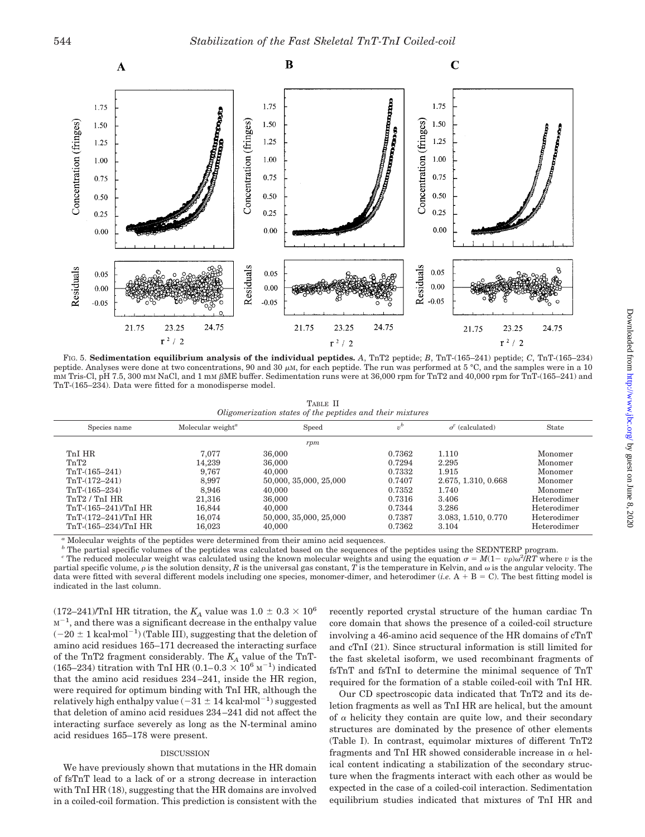

FIG. 5. **Sedimentation equilibrium analysis of the individual peptides.** *A*, TnT2 peptide; *B*, TnT-(165–241) peptide; *C*, TnT-(165–234) peptide. Analyses were done at two concentrations, 90 and 30  $\mu$ M, for each peptide. The run was performed at 5 °C, and the samples were in a 10 mM Tris-Cl, pH 7.5, 300 mM NaCl, and 1 mM  $\beta$ ME buffer. Sedimentation runs were at 36,000 rpm for TnT2 and 40,000 rpm for TnT-(165–241) and TnT-(165–234). Data were fitted for a monodisperse model.

TABLE II *Oligomerization states of the peptides and their mixtures*

| Species name           | Molecular weight <sup><math>a</math></sup> | Speed                  | $v^b$  | $\sigma^c$ (calculated) | State       |
|------------------------|--------------------------------------------|------------------------|--------|-------------------------|-------------|
|                        |                                            | rpm                    |        |                         |             |
| TnI HR                 | 7.077                                      | 36,000                 | 0.7362 | 1.110                   | Monomer     |
| TnT2                   | 14.239                                     | 36,000                 | 0.7294 | 2.295                   | Monomer     |
| $TnT-(165-241)$        | 9.767                                      | 40,000                 | 0.7332 | 1.915                   | Monomer     |
| $TnT-(172-241)$        | 8.997                                      | 50,000, 35,000, 25,000 | 0.7407 | 2.675, 1.310, 0.668     | Monomer     |
| $TnT-(165-234)$        | 8.946                                      | 40,000                 | 0.7352 | 1.740                   | Monomer     |
| TnT2 / TnI HR          | 21.316                                     | 36,000                 | 0.7316 | 3.406                   | Heterodimer |
| TnT-(165–241)/TnI HR   | 16.844                                     | 40,000                 | 0.7344 | 3.286                   | Heterodimer |
| $TnT-(172-241)/TnI$ HR | 16.074                                     | 50,000, 35,000, 25,000 | 0.7387 | 3.083, 1.510, 0.770     | Heterodimer |
| TnT-(165–234)/TnI HR   | 16,023                                     | 40,000                 | 0.7362 | 3.104                   | Heterodimer |

*<sup>a</sup>* Molecular weights of the peptides were determined from their amino acid sequences.

<sup>b</sup> The partial specific volumes of the peptides was calculated based on the sequences of the peptides using the SEDNTERP program.

*c* The reduced molecular weight was calculated using the known molecular weights and using the equation  $\sigma = M(1 - v\rho)\omega^2/RT$  where *v* is the partial specific volume,  $\rho$  is the solution density,  $R$  is the universal gas constant,  $T$  is the temperature in Kelvin, and  $\omega$  is the angular velocity. The data were fitted with several different models including one species, monomer-dimer, and heterodimer (*i.e.*  $A + B = C$ ). The best fitting model is indicated in the last column.

 $(172-241)/\text{ThI}$  HR titration, the  $K_A$  value was  $1.0 \pm 0.3 \times 10^6$  $M^{-1}$ , and there was a significant decrease in the enthalpy value  $(-20 \pm 1 \text{ kcal·mol}^{-1})$  (Table III), suggesting that the deletion of amino acid residues 165–171 decreased the interacting surface of the TnT2 fragment considerably. The *KA* value of the TnT- (165–234) titration with TnI HR (0.1–0.3  $\times$  10<sup>6</sup> M<sup>-1</sup>) indicated that the amino acid residues 234 –241, inside the HR region, were required for optimum binding with TnI HR, although the relatively high enthalpy value  $(-31 \pm 14 \text{ kcal·mol}^{-1})$  suggested that deletion of amino acid residues 234 –241 did not affect the interacting surface severely as long as the N-terminal amino acid residues 165–178 were present.

#### DISCUSSION

We have previously shown that mutations in the HR domain of fsTnT lead to a lack of or a strong decrease in interaction with TnI HR (18), suggesting that the HR domains are involved in a coiled-coil formation. This prediction is consistent with the recently reported crystal structure of the human cardiac Tn core domain that shows the presence of a coiled-coil structure involving a 46-amino acid sequence of the HR domains of cTnT and cTnI (21). Since structural information is still limited for the fast skeletal isoform, we used recombinant fragments of fsTnT and fsTnI to determine the minimal sequence of TnT required for the formation of a stable coiled-coil with TnI HR.

Our CD spectroscopic data indicated that TnT2 and its deletion fragments as well as TnI HR are helical, but the amount of  $\alpha$  helicity they contain are quite low, and their secondary structures are dominated by the presence of other elements (Table I). In contrast, equimolar mixtures of different TnT2 fragments and TnI HR showed considerable increase in  $\alpha$  helical content indicating a stabilization of the secondary structure when the fragments interact with each other as would be expected in the case of a coiled-coil interaction. Sedimentation equilibrium studies indicated that mixtures of TnI HR and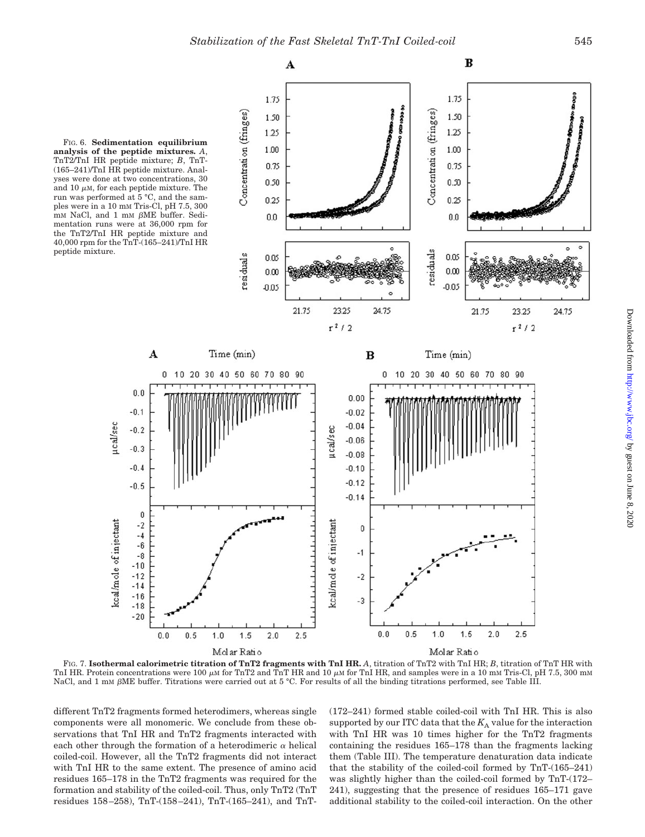A

B

FIG. 6. **Sedimentation equilibrium analysis of the peptide mixtures.** *A*, TnT2/TnI HR peptide mixture; *B*, TnT- (165–241)/TnI HR peptide mixture. Analyses were done at two concentrations, 30 and 10  $\mu$ M, for each peptide mixture. The run was performed at 5 °C, and the samples were in a 10 mM Tris-Cl, pH 7.5, 300  $mm$  NaCl, and 1  $mm$   $\beta$ ME buffer. Sedimentation runs were at 36,000 rpm for the TnT2/TnI HR peptide mixture and 40,000 rpm for the TnT-(165–241)/TnI HR peptide mixture.



FIG. 7. **Isothermal calorimetric titration of TnT2 fragments with TnI HR.** *A*, titration of TnT2 with TnI HR; *B*, titration of TnT HR with TnI HR. Protein concentrations were 100  $\mu$ M for TnT2 and TnT HR and 10  $\mu$ M for TnI HR, and samples were in a 10 mM Tris-Cl, pH 7.5, 300 mM NaCl, and 1 mM  $\beta$ ME buffer. Titrations were carried out at 5 °C. For results of all the binding titrations performed, see Table III.

different TnT2 fragments formed heterodimers, whereas single components were all monomeric. We conclude from these observations that TnI HR and TnT2 fragments interacted with each other through the formation of a heterodimeric  $\alpha$  helical coiled-coil. However, all the TnT2 fragments did not interact with TnI HR to the same extent. The presence of amino acid residues 165–178 in the TnT2 fragments was required for the formation and stability of the coiled-coil. Thus, only TnT2 (TnT residues 158 –258), TnT-(158 –241), TnT-(165–241), and TnT-

(172–241) formed stable coiled-coil with TnI HR. This is also supported by our ITC data that the  $K_A$  value for the interaction with TnI HR was 10 times higher for the TnT2 fragments containing the residues 165–178 than the fragments lacking them (Table III). The temperature denaturation data indicate that the stability of the coiled-coil formed by TnT-(165–241) was slightly higher than the coiled-coil formed by TnT-(172– 241), suggesting that the presence of residues 165–171 gave additional stability to the coiled-coil interaction. On the other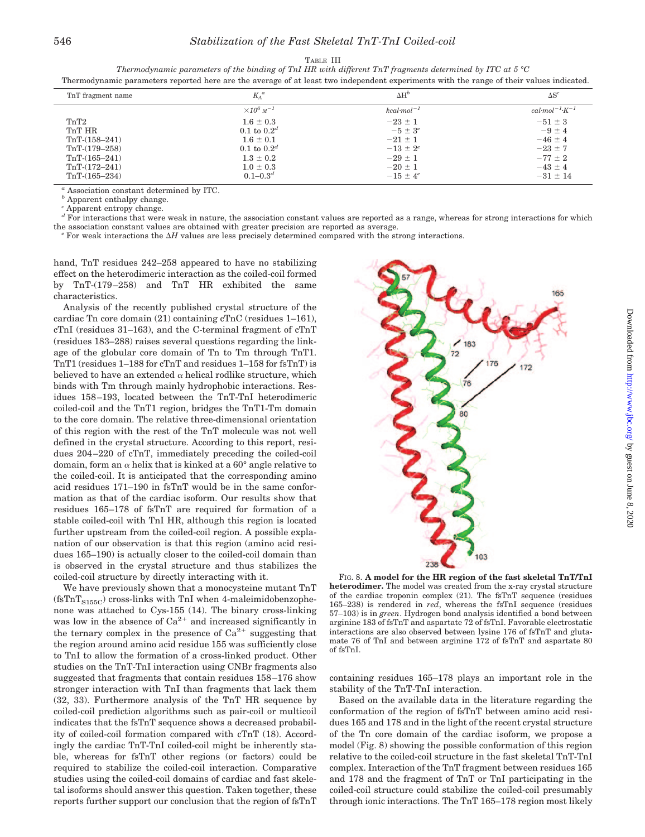#### TABLE III

*Thermodynamic parameters of the binding of TnI HR with different TnT fragments determined by ITC at 5 °C* Thermodynamic parameters reported here are the average of at least two independent experiments with the range of their values indicated.

| TnT fragment name | $K_A^a$                    | $\Delta H^b$        | $\Delta S^c$                      |
|-------------------|----------------------------|---------------------|-----------------------------------|
|                   | $\times 10^6$ $\rm M^{-1}$ | $kcal$ -mol $^{-1}$ | $cal \cdot mol^{-1} \cdot K^{-1}$ |
| TnT2              | $1.6 \pm 0.3$              | $-23 \pm 1$         | $-51 \pm 3$                       |
| TnT HR            | $0.1$ to $0.2d$            | $-5 \pm 3^e$        | $-9 \pm 4$                        |
| $TnT-(158-241)$   | $1.6 \pm 0.1$              | $-21 \pm 1$         | $-46 \pm 4$                       |
| $TnT-(179-258)$   | 0.1 to $0.2^d$             | $-13 \pm 2^e$       | $-23 \pm 7$                       |
| $TnT-(165-241)$   | $1.3 \pm 0.2$              | $-29 \pm 1$         | $-77 \pm 2$                       |
| $TnT-(172-241)$   | $1.0 \pm 0.3$              | $-20 \pm 1$         | $-43 \pm 4$                       |
| $TnT-(165-234)$   | $0.1 - 0.3^d$              | $-15 \pm 4^e$       | $-31 \pm 14$                      |
|                   |                            |                     |                                   |

*<sup>a</sup>* Association constant determined by ITC.

*b* Apparent enthalpy change.

*<sup>c</sup>* Apparent entropy change.

*d* For interactions that were weak in nature, the association constant values are reported as a range, whereas for strong interactions for which the association constant values are obtained with greater precision are repo the association constant values are obtained with greater precision are reported as average.<br><sup>*e*</sup> For weak interactions the  $\Delta H$  values are less precisely determined compared with the strong interactions.

hand, TnT residues 242–258 appeared to have no stabilizing effect on the heterodimeric interaction as the coiled-coil formed by TnT-(179 –258) and TnT HR exhibited the same characteristics.

Analysis of the recently published crystal structure of the cardiac Tn core domain (21) containing cTnC (residues 1–161), cTnI (residues 31–163), and the C-terminal fragment of cTnT (residues 183–288) raises several questions regarding the linkage of the globular core domain of Tn to Tm through TnT1. TnT1 (residues 1–188 for cTnT and residues 1–158 for fsTnT) is believed to have an extended  $\alpha$  helical rodlike structure, which binds with Tm through mainly hydrophobic interactions. Residues 158 –193, located between the TnT-TnI heterodimeric coiled-coil and the TnT1 region, bridges the TnT1-Tm domain to the core domain. The relative three-dimensional orientation of this region with the rest of the TnT molecule was not well defined in the crystal structure. According to this report, residues 204 –220 of cTnT, immediately preceding the coiled-coil domain, form an  $\alpha$  helix that is kinked at a 60° angle relative to the coiled-coil. It is anticipated that the corresponding amino acid residues 171–190 in fsTnT would be in the same conformation as that of the cardiac isoform. Our results show that residues 165–178 of fsTnT are required for formation of a stable coiled-coil with TnI HR, although this region is located further upstream from the coiled-coil region. A possible explanation of our observation is that this region (amino acid residues 165–190) is actually closer to the coiled-coil domain than is observed in the crystal structure and thus stabilizes the coiled-coil structure by directly interacting with it.

We have previously shown that a monocysteine mutant TnT  $(fsTnT<sub>S155C</sub>)$  cross-links with TnI when 4-maleimidobenzophenone was attached to Cys-155 (14). The binary cross-linking was low in the absence of  $Ca^{2+}$  and increased significantly in the ternary complex in the presence of  $Ca^{2+}$  suggesting that the region around amino acid residue 155 was sufficiently close to TnI to allow the formation of a cross-linked product. Other studies on the TnT-TnI interaction using CNBr fragments also suggested that fragments that contain residues 158 –176 show stronger interaction with TnI than fragments that lack them (32, 33). Furthermore analysis of the TnT HR sequence by coiled-coil prediction algorithms such as pair-coil or multicoil indicates that the fsTnT sequence shows a decreased probability of coiled-coil formation compared with cTnT (18). Accordingly the cardiac TnT-TnI coiled-coil might be inherently stable, whereas for fsTnT other regions (or factors) could be required to stabilize the coiled-coil interaction. Comparative studies using the coiled-coil domains of cardiac and fast skeletal isoforms should answer this question. Taken together, these reports further support our conclusion that the region of fsTnT



FIG. 8. **A model for the HR region of the fast skeletal TnT/TnI heterodimer.** The model was created from the x-ray crystal structure of the cardiac troponin complex (21). The fsTnT sequence (residues 165–238) is rendered in *red*, whereas the fsTnI sequence (residues 57–103) is in *green*. Hydrogen bond analysis identified a bond between arginine 183 of fsTnT and aspartate 72 of fsTnI. Favorable electrostatic interactions are also observed between lysine 176 of fsTnT and glutamate 76 of TnI and between arginine 172 of fsTnT and aspartate 80 of fsTnI.

containing residues 165–178 plays an important role in the stability of the TnT-TnI interaction.

Based on the available data in the literature regarding the conformation of the region of fsTnT between amino acid residues 165 and 178 and in the light of the recent crystal structure of the Tn core domain of the cardiac isoform, we propose a model (Fig. 8) showing the possible conformation of this region relative to the coiled-coil structure in the fast skeletal TnT-TnI complex. Interaction of the TnT fragment between residues 165 and 178 and the fragment of TnT or TnI participating in the coiled-coil structure could stabilize the coiled-coil presumably through ionic interactions. The TnT 165–178 region most likely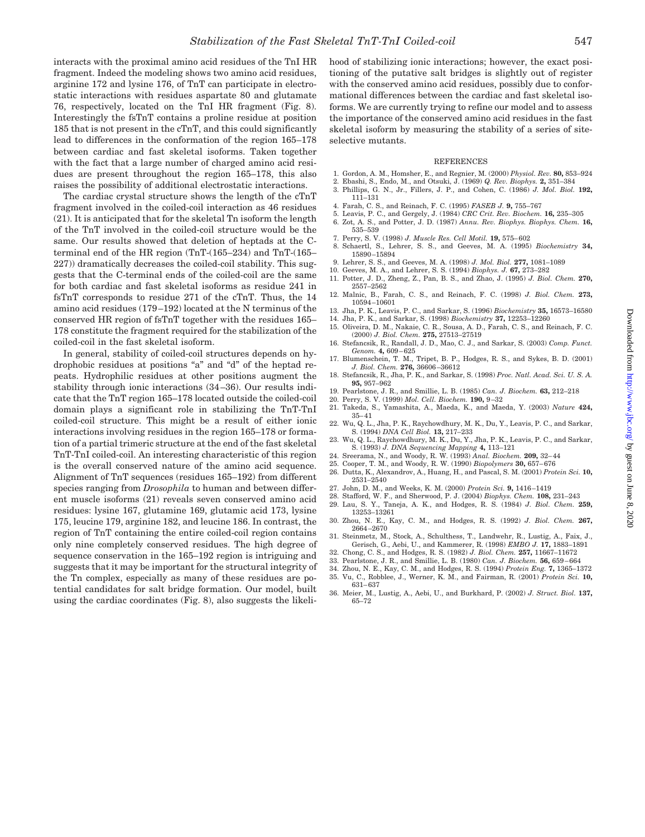interacts with the proximal amino acid residues of the TnI HR fragment. Indeed the modeling shows two amino acid residues, arginine 172 and lysine 176, of TnT can participate in electrostatic interactions with residues aspartate 80 and glutamate 76, respectively, located on the TnI HR fragment (Fig. 8). Interestingly the fsTnT contains a proline residue at position 185 that is not present in the cTnT, and this could significantly lead to differences in the conformation of the region 165–178 between cardiac and fast skeletal isoforms. Taken together with the fact that a large number of charged amino acid residues are present throughout the region 165–178, this also raises the possibility of additional electrostatic interactions.

The cardiac crystal structure shows the length of the cTnT fragment involved in the coiled-coil interaction as 46 residues (21). It is anticipated that for the skeletal Tn isoform the length of the TnT involved in the coiled-coil structure would be the same. Our results showed that deletion of heptads at the Cterminal end of the HR region (TnT-(165–234) and TnT-(165– 227)) dramatically decreases the coiled-coil stability. This suggests that the C-terminal ends of the coiled-coil are the same for both cardiac and fast skeletal isoforms as residue 241 in fsTnT corresponds to residue 271 of the cTnT. Thus, the 14 amino acid residues (179 –192) located at the N terminus of the conserved HR region of fsTnT together with the residues 165– 178 constitute the fragment required for the stabilization of the coiled-coil in the fast skeletal isoform.

In general, stability of coiled-coil structures depends on hydrophobic residues at positions "a" and "d" of the heptad repeats. Hydrophilic residues at other positions augment the stability through ionic interactions (34 –36). Our results indicate that the TnT region 165–178 located outside the coiled-coil domain plays a significant role in stabilizing the TnT-TnI coiled-coil structure. This might be a result of either ionic interactions involving residues in the region 165–178 or formation of a partial trimeric structure at the end of the fast skeletal TnT-TnI coiled-coil. An interesting characteristic of this region is the overall conserved nature of the amino acid sequence. Alignment of TnT sequences (residues 165–192) from different species ranging from *Drosophila* to human and between different muscle isoforms (21) reveals seven conserved amino acid residues: lysine 167, glutamine 169, glutamic acid 173, lysine 175, leucine 179, arginine 182, and leucine 186. In contrast, the region of TnT containing the entire coiled-coil region contains only nine completely conserved residues. The high degree of sequence conservation in the 165–192 region is intriguing and suggests that it may be important for the structural integrity of the Tn complex, especially as many of these residues are potential candidates for salt bridge formation. Our model, built using the cardiac coordinates (Fig. 8), also suggests the likelihood of stabilizing ionic interactions; however, the exact positioning of the putative salt bridges is slightly out of register with the conserved amino acid residues, possibly due to conformational differences between the cardiac and fast skeletal isoforms. We are currently trying to refine our model and to assess the importance of the conserved amino acid residues in the fast skeletal isoform by measuring the stability of a series of siteselective mutants.

#### REFERENCES

- 1. Gordon, A. M., Homsher, E., and Regnier, M. (2000) *Physiol. Rev.* **80,** 853–924
- 2. Ebashi, S., Endo, M., and Otsuki, J. (1969) *Q. Rev. Biophys.* **2,** 351–384
- 3. Phillips, G. N., Jr., Fillers, J. P., and Cohen, C. (1986) *J. Mol. Biol.* **192,** 111–131
- 4. Farah, C. S., and Reinach, F. C. (1995) *FASEB J.* **9,** 755–767
- 5. Leavis, P. C., and Gergely, J. (1984) *CRC Crit. Rev. Biochem.* **16,** 235–305 6. Zot, A. S., and Potter, J. D. (1987) *Annu. Rev. Biophys. Biophys. Chem.* **16,** 535–539
- 7. Perry, S. V. (1998) *J. Muscle Res. Cell Motil.* **19,** 575– 602
- 8. Schaertl, S., Lehrer, S. S., and Geeves, M. A. (1995) *Biochemistry* **34,** 15890 –15894
- 9. Lehrer, S. S., and Geeves, M. A. (1998) *J. Mol. Biol.* **277,** 1081–1089
- 10. Geeves, M. A., and Lehrer, S. S. (1994) *Biophys. J.* **67,** 273–282 11. Potter, J. D., Zheng, Z., Pan, B. S., and Zhao, J. (1995) *J. Biol. Chem.* **270,**
- 2557–2562 12. Malnic, B., Farah, C. S., and Reinach, F. C. (1998) *J. Biol. Chem.* **273,**
- 10594 –10601 13. Jha, P. K., Leavis, P. C., and Sarkar, S. (1996) *Biochemistry* **35,** 16573–16580
- 14. Jha, P. K., and Sarkar, S. (1998) *Biochemistry* **37,** 12253–12260
- 15. Oliveira, D. M., Nakaie, C. R., Sousa, A. D., Farah, C. S., and Reinach, F. C.
- (2000) *J. Biol. Chem.* **275,** 27513–27519 16. Stefancsik, R., Randall, J. D., Mao, C. J., and Sarkar, S. (2003) *Comp. Funct. Genom.* **4,** 609 – 625
- 17. Blumenschein, T. M., Tripet, B. P., Hodges, R. S., and Sykes, B. D. (2001) *J. Biol. Chem.* **276,** 36606 –36612
- 18. Stefancsik, R., Jha, P. K., and Sarkar, S. (1998) *Proc. Natl. Acad. Sci. U. S. A.* **95,** 957–962
- 19. Pearlstone, J. R., and Smillie, L. B. (1985) *Can. J. Biochem.* **63,** 212–218
- 20. Perry, S. V. (1999) *Mol. Cell. Biochem.* **190,** 9 –32
- 21. Takeda, S., Yamashita, A., Maeda, K., and Maeda, Y. (2003) *Nature* **424,** 35– 41
- 22. Wu, Q. L., Jha, P. K., Raychowdhury, M. K., Du, Y., Leavis, P. C., and Sarkar, S. (1994) *DNA Cell Biol.* **13,** 217–233
- 23. Wu, Q. L., Raychowdhury, M. K., Du, Y., Jha, P. K., Leavis, P. C., and Sarkar, S. (1993) *J. DNA Sequencing Mapping* **4,** 113–121
- 24. Sreerama, N., and Woody, R. W. (1993) *Anal. Biochem.* **209,** 32– 44
- 25. Cooper, T. M., and Woody, R. W. (1990) *Biopolymers* **30,** 657– 676
- 26. Dutta, K., Alexandrov, A., Huang, H., and Pascal, S. M. (2001) *Protein Sci.* **10,** 2531–2540
- 27. John, D. M., and Weeks, K. M. (2000) *Protein Sci.* **9,** 1416 –1419
- 28. Stafford, W. F., and Sherwood, P. J. (2004) *Biophys. Chem.* **108,** 231–243 29. Lau, S. Y., Taneja, A. K., and Hodges, R. S. (1984) *J. Biol. Chem.* **259,**
- 13253–13261 30. Zhou, N. E., Kay, C. M., and Hodges, R. S. (1992) *J. Biol. Chem.* **267,** 2664 –2670
- 31. Steinmetz, M., Stock, A., Schulthess, T., Landwehr, R., Lustig, A., Faix, J., Gerisch, G., Aebi, U., and Kammerer, R. (1998) *EMBO J.* **17,** 1883–1891
- 32. Chong, C. S., and Hodges, R. S. (1982) *J. Biol. Chem.* **257,** 11667–11672
- 33. Pearlstone, J. R., and Smillie, L. B. (1980) *Can. J. Biochem.* **56,** 659 664
- 34. Zhou, N. E., Kay, C. M., and Hodges, R. S. (1994) *Protein Eng.* **7,** 1365–1372
- 35. Vu, C., Robblee, J., Werner, K. M., and Fairman, R. (2001) *Protein Sci.* **10,** 631– 637
- 36. Meier, M., Lustig, A., Aebi, U., and Burkhard, P. (2002) *J. Struct. Biol.* **137,** 65–72